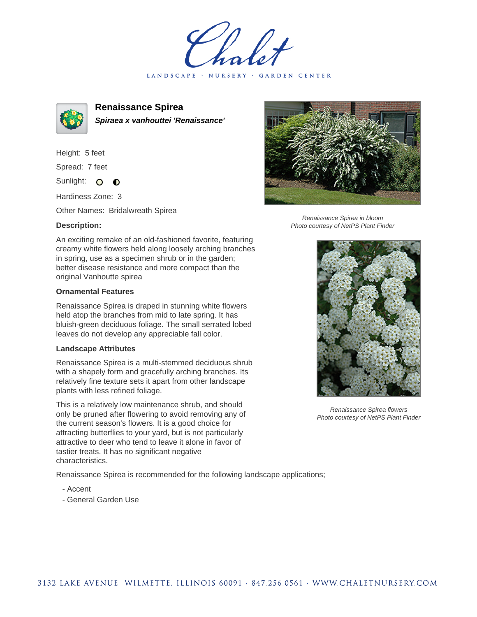LANDSCAPE · NURSERY · GARDEN CENTER



**Renaissance Spirea Spiraea x vanhouttei 'Renaissance'**

Height: 5 feet Spread: 7 feet

Sunlight: O  $\bullet$ 

Hardiness Zone: 3

Other Names: Bridalwreath Spirea

## **Description:**

An exciting remake of an old-fashioned favorite, featuring creamy white flowers held along loosely arching branches in spring, use as a specimen shrub or in the garden; better disease resistance and more compact than the original Vanhoutte spirea

## **Ornamental Features**

Renaissance Spirea is draped in stunning white flowers held atop the branches from mid to late spring. It has bluish-green deciduous foliage. The small serrated lobed leaves do not develop any appreciable fall color.

## **Landscape Attributes**

Renaissance Spirea is a multi-stemmed deciduous shrub with a shapely form and gracefully arching branches. Its relatively fine texture sets it apart from other landscape plants with less refined foliage.

This is a relatively low maintenance shrub, and should only be pruned after flowering to avoid removing any of the current season's flowers. It is a good choice for attracting butterflies to your yard, but is not particularly attractive to deer who tend to leave it alone in favor of tastier treats. It has no significant negative characteristics.

Renaissance Spirea is recommended for the following landscape applications;

- Accent
- General Garden Use



Renaissance Spirea in bloom Photo courtesy of NetPS Plant Finder



Renaissance Spirea flowers Photo courtesy of NetPS Plant Finder